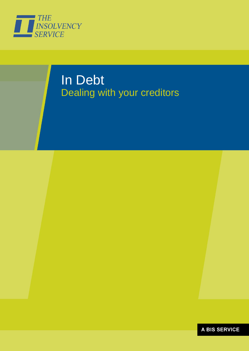

# In Debt Dealing with your creditors

**A BIS SERVICE**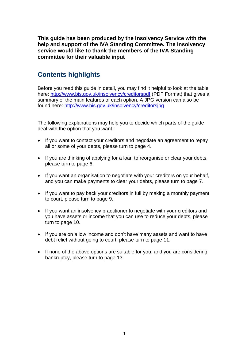**This guide has been produced by the Insolvency Service with the help and support of the IVA Standing Committee. The Insolvency service would like to thank the members of the IVA Standing committee for their valuable input**

# **Contents highlights**

Before you read this guide in detail, you may find it helpful to look at the table here:<http://www.bis.gov.uk/insolvency/creditorspdf> (PDF Format) that gives a summary of the main features of each option. A JPG version can also be found here:<http://www.bis.gov.uk/insolvency/creditorsjpg>

The following explanations may help you to decide which parts of the guide deal with the option that you want :

- If you want to contact your creditors and negotiate an agreement to repay all or some of your debts, please turn to page 4.
- If you are thinking of applying for a loan to reorganise or clear your debts, please turn to page 6.
- If you want an organisation to negotiate with your creditors on your behalf, and you can make payments to clear your debts, please turn to page 7.
- If you want to pay back your creditors in full by making a monthly payment to court, please turn to page 9.
- If you want an insolvency practitioner to negotiate with your creditors and you have assets or income that you can use to reduce your debts, please turn to page 10.
- If you are on a low income and don't have many assets and want to have debt relief without going to court, please turn to page 11.
- If none of the above options are suitable for you, and you are considering bankruptcy, please turn to page 13.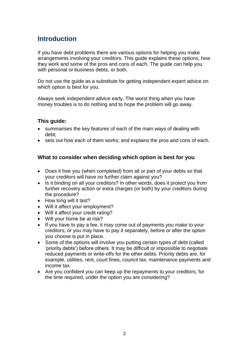# **Introduction**

If you have debt problems there are various options for helping you make arrangements involving your creditors. This guide explains these options, how they work and some of the pros and cons of each. The guide can help you with personal or business debts, or both.

Do not use the guide as a substitute for getting independent expert advice on which option is best for you.

Always seek independent advice early. The worst thing when you have money troubles is to do nothing and to hope the problem will go away.

### **This guide:**

- summarises the key features of each of the main ways of dealing with debt;
- sets out how each of them works; and explains the pros and cons of each.

#### **What to consider when deciding which option is best for you**

- Does it free you (when completed) from all or part of your debts so that your creditors will have no further claim against you?
- Is it binding on all your creditors? In other words, does it protect you from further recovery action or extra charges (or both) by your creditors during the procedure?
- How long will it last?
- Will it affect your employment?
- Will it affect your credit rating?
- Will your home be at risk?
- If you have to pay a fee, it may come out of payments you make to your creditors, or you may have to pay it separately, before or after the option you choose is put in place.
- Some of the options will involve you putting certain types of debt (called 'priority debts') before others. It may be difficult or impossible to negotiate reduced payments or write-offs for the other debts. Priority debts are, for example, utilities, rent, court fines, council tax, maintenance payments and income tax.
- Are you confident you can keep up the repayments to your creditors, for the time required, under the option you are considering?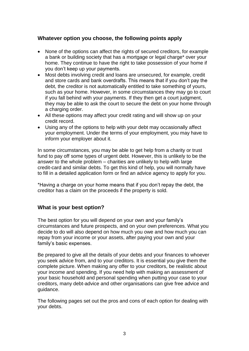### **Whatever option you choose, the following points apply**

- None of the options can affect the rights of secured creditors, for example a bank or building society that has a mortgage or legal charge\* over your home. They continue to have the right to take possession of your home if you don't keep up your payments.
- Most debts involving credit and loans are unsecured, for example, credit and store cards and bank overdrafts. This means that if you don't pay the debt, the creditor is not automatically entitled to take something of yours, such as your home. However, in some circumstances they may go to court if you fall behind with your payments. If they then get a court judgment, they may be able to ask the court to secure the debt on your home through a charging order.
- All these options may affect your credit rating and will show up on your credit record.
- Using any of the options to help with your debt may occasionally affect your employment. Under the terms of your employment, you may have to inform your employer about it.

In some circumstances, you may be able to get help from a charity or trust fund to pay off some types of urgent debt. However, this is unlikely to be the answer to the whole problem – charities are unlikely to help with large credit-card and similar debts. To get this kind of help, you will normally have to fill in a detailed application form or find an advice agency to apply for you.

\*Having a charge on your home means that if you don't repay the debt, the creditor has a claim on the proceeds if the property is sold.

#### **What is your best option?**

The best option for you will depend on your own and your family's circumstances and future prospects, and on your own preferences. What you decide to do will also depend on how much you owe and how much you can repay from your income or your assets, after paying your own and your family's basic expenses.

Be prepared to give all the details of your debts and your finances to whoever you seek advice from, and to your creditors. It is essential you give them the complete picture. When making any offer to your creditors, be realistic about your income and spending. If you need help with making an assessment of your basic household and personal spending when putting your case to your creditors, many debt-advice and other organisations can give free advice and guidance.

The following pages set out the pros and cons of each option for dealing with your debts.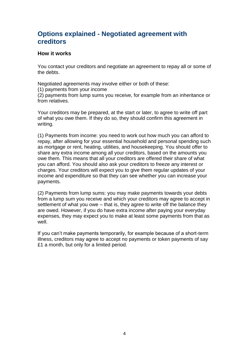# **Options explained - Negotiated agreement with creditors**

#### **How it works**

You contact your creditors and negotiate an agreement to repay all or some of the debts.

Negotiated agreements may involve either or both of these:

(1) payments from your income

(2) payments from lump sums you receive, for example from an inheritance or from relatives.

Your creditors may be prepared, at the start or later, to agree to write off part of what you owe them. If they do so, they should confirm this agreement in writing.

(1) Payments from income: you need to work out how much you can afford to repay, after allowing for your essential household and personal spending such as mortgage or rent, heating, utilities, and housekeeping. You should offer to share any extra income among all your creditors, based on the amounts you owe them. This means that all your creditors are offered their share of what you can afford. You should also ask your creditors to freeze any interest or charges. Your creditors will expect you to give them regular updates of your income and expenditure so that they can see whether you can increase your payments.

(2) Payments from lump sums: you may make payments towards your debts from a lump sum you receive and which your creditors may agree to accept in settlement of what you owe – that is, they agree to write off the balance they are owed. However, if you do have extra income after paying your everyday expenses, they may expect you to make at least some payments from that as well.

If you can't make payments temporarily, for example because of a short-term illness, creditors may agree to accept no payments or token payments of say £1 a month, but only for a limited period.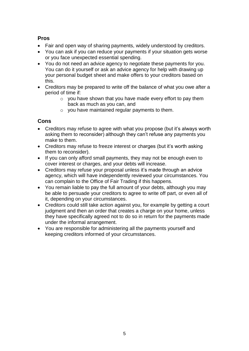## **Pros**

- Fair and open way of sharing payments, widely understood by creditors.
- You can ask if you can reduce your payments if your situation gets worse or you face unexpected essential spending.
- You do not need an advice agency to negotiate these payments for you. You can do it yourself or ask an advice agency for help with drawing up your personal budget sheet and make offers to your creditors based on this.
- Creditors may be prepared to write off the balance of what you owe after a period of time if:
	- o you have shown that you have made every effort to pay them back as much as you can, and
	- $\circ$  vou have maintained regular payments to them.

- Creditors may refuse to agree with what you propose (but it's always worth asking them to reconsider) although they can't refuse any payments you make to them.
- Creditors may refuse to freeze interest or charges (but it's worth asking them to reconsider).
- If you can only afford small payments, they may not be enough even to cover interest or charges, and your debts will increase.
- Creditors may refuse your proposal unless it's made through an advice agency, which will have independently reviewed your circumstances. You can complain to the Office of Fair Trading if this happens.
- You remain liable to pay the full amount of your debts, although you may be able to persuade your creditors to agree to write off part, or even all of it, depending on your circumstances.
- Creditors could still take action against you, for example by getting a court judgment and then an order that creates a charge on your home, unless they have specifically agreed not to do so in return for the payments made under the informal arrangement.
- You are responsible for administering all the payments yourself and keeping creditors informed of your circumstances.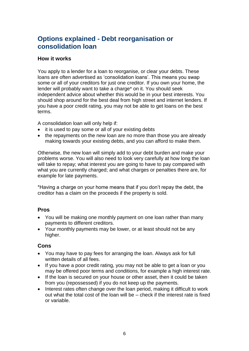# **Options explained - Debt reorganisation or consolidation loan**

#### **How it works**

You apply to a lender for a loan to reorganise, or clear your debts. These loans are often advertised as 'consolidation loans'. This means you swap some or all of your creditors for just one creditor. If you own your home, the lender will probably want to take a charge\* on it. You should seek independent advice about whether this would be in your best interests. You should shop around for the best deal from high street and internet lenders. If you have a poor credit rating, you may not be able to get loans on the best terms.

A consolidation loan will only help if:

- it is used to pay some or all of your existing debts
- the repayments on the new loan are no more than those you are already making towards your existing debts, and you can afford to make them.

Otherwise, the new loan will simply add to your debt burden and make your problems worse. You will also need to look very carefully at how long the loan will take to repay; what interest you are going to have to pay compared with what you are currently charged; and what charges or penalties there are, for example for late payments.

\*Having a charge on your home means that if you don't repay the debt, the creditor has a claim on the proceeds if the property is sold.

### **Pros**

- You will be making one monthly payment on one loan rather than many payments to different creditors.
- Your monthly payments may be lower, or at least should not be any higher.

- You may have to pay fees for arranging the loan. Always ask for full written details of all fees.
- If you have a poor credit rating, you may not be able to get a loan or you may be offered poor terms and conditions, for example a high interest rate.
- If the loan is secured on your house or other asset, then it could be taken from you (repossessed) if you do not keep up the payments.
- Interest rates often change over the loan period, making it difficult to work out what the total cost of the loan will be – check if the interest rate is fixed or variable.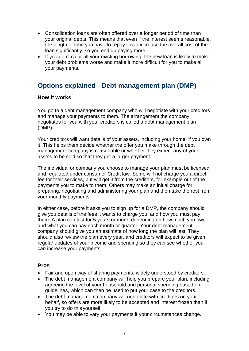- Consolidation loans are often offered over a longer period of time than your original debts. This means that even if the interest seems reasonable, the length of time you have to repay it can increase the overall cost of the loan significantly, so you end up paying more.
- If you don't clear all your existing borrowing, the new loan is likely to make your debt problems worse and make it more difficult for you to make all your payments.

# **Options explained - Debt management plan (DMP)**

#### **How it works**

You go to a debt management company who will negotiate with your creditors and manage your payments to them. The arrangement the company negotiates for you with your creditors is called a debt management plan (DMP).

Your creditors will want details of your assets, including your home, if you own it. This helps them decide whether the offer you make through the debt management company is reasonable or whether they expect any of your assets to be sold so that they get a larger payment.

The individual or company you choose to manage your plan must be licensed and regulated under consumer Credit law. Some will not charge you a direct fee for their services, but will get it from the creditors, for example out of the payments you to make to them. Others may make an initial charge for preparing, negotiating and administering your plan and then take the rest from your monthly payments.

In either case, before it asks you to sign up for a DMP, the company should give you details of the fees it wants to charge you, and how you must pay them. A plan can last for 5 years or more, depending on how much you owe and what you can pay each month or quarter. Your debt management company should give you an estimate of how long the plan will last. They should also review the plan every year, and creditors will expect to be given regular updates of your income and spending so they can see whether you can increase your payments.

#### **Pros**

- Fair and open way of sharing payments, widely understood by creditors.
- The debt management company will help you prepare your plan, including agreeing the level of your household and personal spending based on guidelines, which can then be used to put your case to the creditors.
- The debt management company will negotiate with creditors on your behalf, so offers are more likely to be accepted and interest frozen than if you try to do this yourself.
- You may be able to vary your payments if your circumstances change.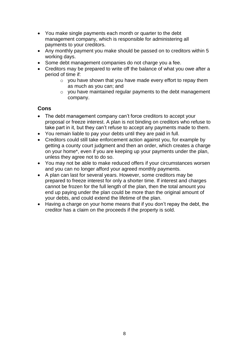- You make single payments each month or quarter to the debt management company, which is responsible for administering all payments to your creditors.
- Any monthly payment you make should be passed on to creditors within 5 working days.
- Some debt management companies do not charge you a fee.
- Creditors may be prepared to write off the balance of what you owe after a period of time if:
	- o you have shown that you have made every effort to repay them as much as you can; and
	- o you have maintained regular payments to the debt management company.

- The debt management company can't force creditors to accept your proposal or freeze interest. A plan is not binding on creditors who refuse to take part in it, but they can't refuse to accept any payments made to them.
- You remain liable to pay your debts until they are paid in full.
- Creditors could still take enforcement action against you, for example by getting a county court judgment and then an order, which creates a charge on your home\*, even if you are keeping up your payments under the plan, unless they agree not to do so.
- You may not be able to make reduced offers if your circumstances worsen and you can no longer afford your agreed monthly payments.
- A plan can last for several years. However, some creditors may be prepared to freeze interest for only a shorter time. If interest and charges cannot be frozen for the full length of the plan, then the total amount you end up paying under the plan could be more than the original amount of your debts, and could extend the lifetime of the plan.
- Having a charge on your home means that if you don't repay the debt, the creditor has a claim on the proceeds if the property is sold.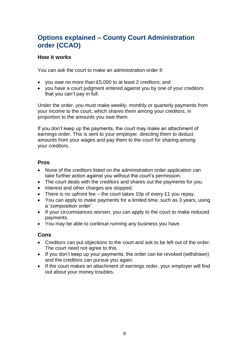# **Options explained – County Court Administration order (CCAO)**

#### **How it works**

You can ask the court to make an administration order if:

- you owe no more than £5,000 to at least 2 creditors; and
- you have a court judgment entered against you by one of your creditors that you can't pay in full.

Under the order, you must make weekly, monthly or quarterly payments from your income to the court, which shares them among your creditors, in proportion to the amounts you owe them.

If you don't keep up the payments, the court may make an attachment of earnings order. This is sent to your employer, directing them to deduct amounts from your wages and pay them to the court for sharing among your creditors.

#### **Pros**

- None of the creditors listed on the administration order application can take further action against you without the court's permission.
- The court deals with the creditors and shares out the payments for you.
- Interest and other charges are stopped.
- There is no upfront fee the court takes 10p of every £1 you repay.
- You can apply to make payments for a limited time, such as 3 years, using a 'composition order'.
- If your circumstances worsen, you can apply to the court to make reduced payments.
- You may be able to continue running any business you have.

- Creditors can put objections to the court and ask to be left out of the order. The court need not agree to this.
- If you don't keep up your payments, the order can be revoked (withdrawn) and the creditors can pursue you again.
- If the court makes an attachment of earnings order, your employer will find out about your money troubles.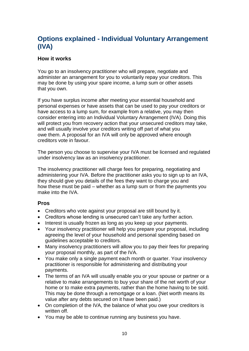# **Options explained - Individual Voluntary Arrangement (IVA)**

### **How it works**

You go to an insolvency practitioner who will prepare, negotiate and administer an arrangement for you to voluntarily repay your creditors. This may be done by using your spare income, a lump sum or other assets that you own.

If you have surplus income after meeting your essential household and personal expenses or have assets that can be used to pay your creditors or have access to a lump sum, for example from a relative, you may then consider entering into an Individual Voluntary Arrangement (IVA). Doing this will protect you from recovery action that your unsecured creditors may take, and will usually involve your creditors writing off part of what you owe them. A proposal for an IVA will only be approved where enough creditors vote in favour.

The person you choose to supervise your IVA must be licensed and regulated under insolvency law as an insolvency practitioner.

The insolvency practitioner will charge fees for preparing, negotiating and administering your IVA. Before the practitioner asks you to sign up to an IVA, they should give you details of the fees they want to charge you and how these must be paid – whether as a lump sum or from the payments you make into the IVA.

### **Pros**

- Creditors who vote against your proposal are still bound by it.
- Creditors whose lending is unsecured can't take any further action.
- Interest is usually frozen as long as you keep up your payments.
- Your insolvency practitioner will help you prepare your proposal, including agreeing the level of your household and personal spending based on guidelines acceptable to creditors.
- Many insolvency practitioners will allow you to pay their fees for preparing your proposal monthly, as part of the IVA.
- You make only a single payment each month or quarter. Your insolvency practitioner is responsible for administering and distributing your payments.
- The terms of an IVA will usually enable you or your spouse or partner or a relative to make arrangements to buy your share of the net worth of your home or to make extra payments, rather than the home having to be sold. This may be done through a remortgage or a loan. (Net worth means its value after any debts secured on it have been paid.)
- On completion of the IVA, the balance of what you owe your creditors is written off.
- You may be able to continue running any business you have.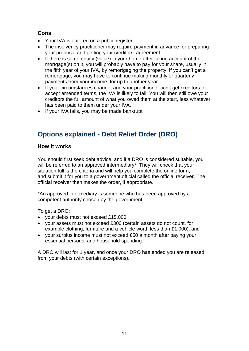# **Cons**

- Your IVA is entered on a public register.
- The insolvency practitioner may require payment in advance for preparing your proposal and getting your creditors' agreement.
- If there is some equity (value) in your home after taking account of the mortgage(s) on it, you will probably have to pay for your share, usually in the fifth year of your IVA, by remortgaging the property. If you can't get a remortgage, you may have to continue making monthly or quarterly payments from your income, for up to another year.
- If your circumstances change, and your practitioner can't get creditors to accept amended terms, the IVA is likely to fail. You will then still owe your creditors the full amount of what you owed them at the start, less whatever has been paid to them under your IVA.
- If your IVA fails, you may be made bankrupt.

# **Options explained - Debt Relief Order (DRO)**

### **How it works**

You should first seek debt advice, and if a DRO is considered suitable, you will be referred to an approved intermediary\*. They will check that your situation fulfils the criteria and will help you complete the online form, and submit it for you to a government official called the official receiver. The official receiver then makes the order, if appropriate.

\*An approved intermediary is someone who has been approved by a competent authority chosen by the government.

To get a DRO:

- your debts must not exceed £15,000;
- your assets must not exceed £300 (certain assets do not count, for example clothing, furniture and a vehicle worth less than £1,000); and
- vour surplus income must not exceed £50 a month after paying your essential personal and household spending.

A DRO will last for 1 year, and once your DRO has ended you are released from your debts (with certain exceptions).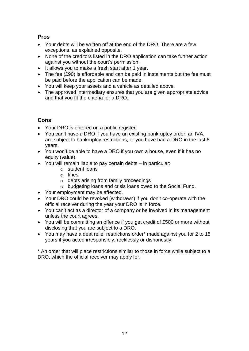# **Pros**

- Your debts will be written off at the end of the DRO. There are a few exceptions, as explained opposite.
- None of the creditors listed in the DRO application can take further action against you without the court's permission.
- It allows you to make a fresh start after 1 year.
- The fee (£90) is affordable and can be paid in instalments but the fee must be paid before the application can be made.
- You will keep your assets and a vehicle as detailed above.
- The approved intermediary ensures that you are given appropriate advice and that you fit the criteria for a DRO.

## **Cons**

- Your DRO is entered on a public register.
- You can't have a DRO if you have an existing bankruptcy order, an IVA, are subject to bankruptcy restrictions, or you have had a DRO in the last 6 years.
- You won't be able to have a DRO if you own a house, even if it has no equity (value).
- You will remain liable to pay certain debts in particular:
	- o student loans
	- o fines
	- o debts arising from family proceedings
	- o budgeting loans and crisis loans owed to the Social Fund.
- Your employment may be affected.
- Your DRO could be revoked (withdrawn) if you don't co-operate with the official receiver during the year your DRO is in force.
- You can't act as a director of a company or be involved in its management unless the court agrees.
- You will be committing an offence if you get credit of £500 or more without disclosing that you are subject to a DRO.
- You may have a debt relief restrictions order\* made against you for 2 to 15 years if you acted irresponsibly, recklessly or dishonestly.

\* An order that will place restrictions similar to those in force while subject to a DRO, which the official receiver may apply for.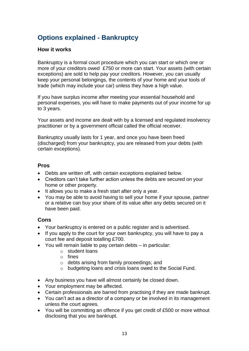# **Options explained - Bankruptcy**

#### **How it works**

Bankruptcy is a formal court procedure which you can start or which one or more of your creditors owed £750 or more can start. Your assets (with certain exceptions) are sold to help pay your creditors. However, you can usually keep your personal belongings, the contents of your home and your tools of trade (which may include your car) unless they have a high value.

If you have surplus income after meeting your essential household and personal expenses, you will have to make payments out of your income for up to 3 years.

Your assets and income are dealt with by a licensed and regulated insolvency practitioner or by a government official called the official receiver.

Bankruptcy usually lasts for 1 year, and once you have been freed (discharged) from your bankruptcy, you are released from your debts (with certain exceptions).

#### **Pros**

- Debts are written off, with certain exceptions explained below.
- Creditors can't take further action unless the debts are secured on your home or other property.
- It allows you to make a fresh start after only a year.
- You may be able to avoid having to sell your home if your spouse, partner or a relative can buy your share of its value after any debts secured on it have been paid.

- Your bankruptcy is entered on a public register and is advertised.
- If you apply to the court for your own bankruptcy, you will have to pay a court fee and deposit totalling £700.
- You will remain liable to pay certain debts in particular:
	- o student loans
	- o fines
	- o debts arising from family proceedings; and
	- o budgeting loans and crisis loans owed to the Social Fund.
- Any business you have will almost certainly be closed down.
- Your employment may be affected.
- Certain professionals are barred from practising if they are made bankrupt.
- You can't act as a director of a company or be involved in its management unless the court agrees.
- You will be committing an offence if you get credit of £500 or more without disclosing that you are bankrupt.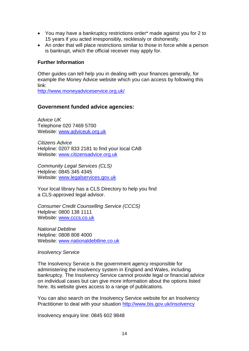- You may have a bankruptcy restrictions order\* made against you for 2 to 15 years if you acted irresponsibly, recklessly or dishonestly.
- An order that will place restrictions similar to those in force while a person is bankrupt, which the official receiver may apply for.

#### **Further Information**

Other guides can tell help you in dealing with your finances generally, for example the Money Advice website which you can access by following this link:

<http://www.moneyadviceservice.org.uk/>

#### **Government funded advice agencies:**

*Advice UK* Telephone 020 7469 5700 Website: [www.adviceuk.org.uk](http://www.adviceuk.org.uk/)

*Citizens Advice* Helpline: 0207 833 2181 to find your local CAB Website: [www.citizensadvice.org.uk](http://www.citizensadvice.org.uk/)

*Community Legal Services (CLS)* Helpline: 0845 345 4345 Website: [www.legalservices.gov.uk](http://www.legalservices.gov.uk/)

Your local library has a CLS Directory to help you find a CLS-approved legal advisor.

*Consumer Credit Counselling Service (CCCS)* Helpline: 0800 138 1111 Website: [www.cccs.co.uk](http://www.cccs.co.uk/)

*National Debtline* Helpline: 0808 808 4000 Website: [www.nationaldebtline.co.uk](http://www.nationaldebtline.co.uk/)

#### *Insolvency Service*

The Insolvency Service is the government agency responsible for administering the insolvency system in England and Wales, including bankruptcy. The Insolvency Service cannot provide legal or financial advice on individual cases but can give more information about the options listed here. Its website gives access to a range of publications.

You can also search on the Insolvency Service website for an Insolvency Practitioner to deal with your situation <http://www.bis.gov.uk/insolvency>

Insolvency enquiry line: 0845 602 9848